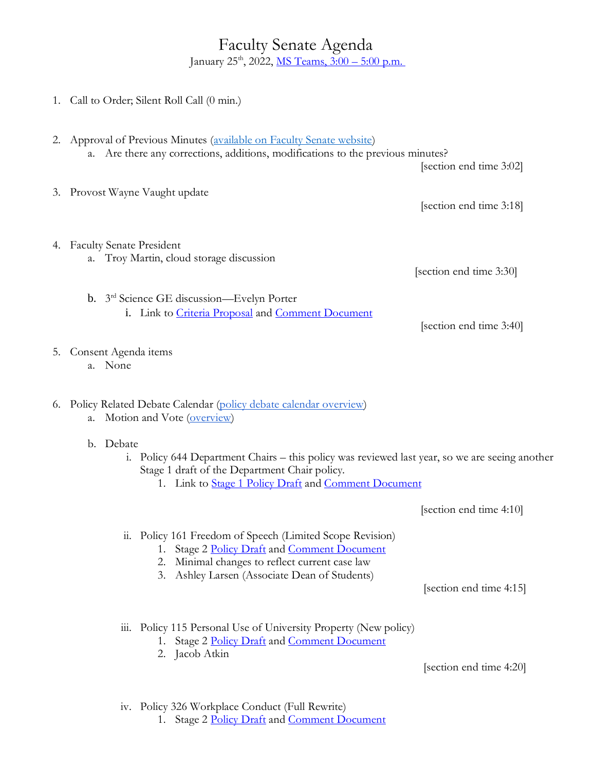Faculty Senate Agenda January 25<sup>th</sup>, 2022, <u>MS Teams, 3:00 – 5:00 p.m.</u>

|  | 1. Call to Order; Silent Roll Call (0 min.)                                                                                                                                                                                                                                                                                     |                         |
|--|---------------------------------------------------------------------------------------------------------------------------------------------------------------------------------------------------------------------------------------------------------------------------------------------------------------------------------|-------------------------|
|  | 2. Approval of Previous Minutes (available on Faculty Senate website)<br>a. Are there any corrections, additions, modifications to the previous minutes?                                                                                                                                                                        | [section end time 3:02] |
|  | 3. Provost Wayne Vaught update                                                                                                                                                                                                                                                                                                  | [section end time 3:18] |
|  | 4. Faculty Senate President<br>a. Troy Martin, cloud storage discussion                                                                                                                                                                                                                                                         | [section end time 3:30] |
|  | b. 3 <sup>rd</sup> Science GE discussion—Evelyn Porter<br>i. Link to Criteria Proposal and Comment Document                                                                                                                                                                                                                     | [section end time 3:40] |
|  | 5. Consent Agenda items<br>a. None                                                                                                                                                                                                                                                                                              |                         |
|  | 6. Policy Related Debate Calendar (policy debate calendar overview)<br>Motion and Vote (overview)<br>а.<br>b. Debate<br>i. Policy 644 Department Chairs - this policy was reviewed last year, so we are seeing another<br>Stage 1 draft of the Department Chair policy.<br>1. Link to Stage 1 Policy Draft and Comment Document |                         |
|  |                                                                                                                                                                                                                                                                                                                                 |                         |
|  |                                                                                                                                                                                                                                                                                                                                 | [section end time 4:10] |
|  | Policy 161 Freedom of Speech (Limited Scope Revision)<br>11.<br>1. Stage 2 Policy Draft and Comment Document<br>Minimal changes to reflect current case law<br>2.<br>Ashley Larsen (Associate Dean of Students)<br>3.                                                                                                           |                         |
|  |                                                                                                                                                                                                                                                                                                                                 | [section end time 4:15] |
|  | Policy 115 Personal Use of University Property (New policy)<br>111.<br>1. Stage 2 Policy Draft and Comment Document<br>Jacob Atkin<br>2.                                                                                                                                                                                        |                         |
|  |                                                                                                                                                                                                                                                                                                                                 | [section end time 4:20] |

iv. Policy 326 Workplace Conduct (Full Rewrite)

1. Stage 2 [Policy Draft](https://policy.uvu.edu/getDisplayFile/5f5a5285a1743c4d5fa76428) and [Comment Document](https://docs.google.com/document/d/14-ljchfGmoROob3LnF1JYyUqvaR4ecYiBXYska15y6Y/edit?usp=sharing)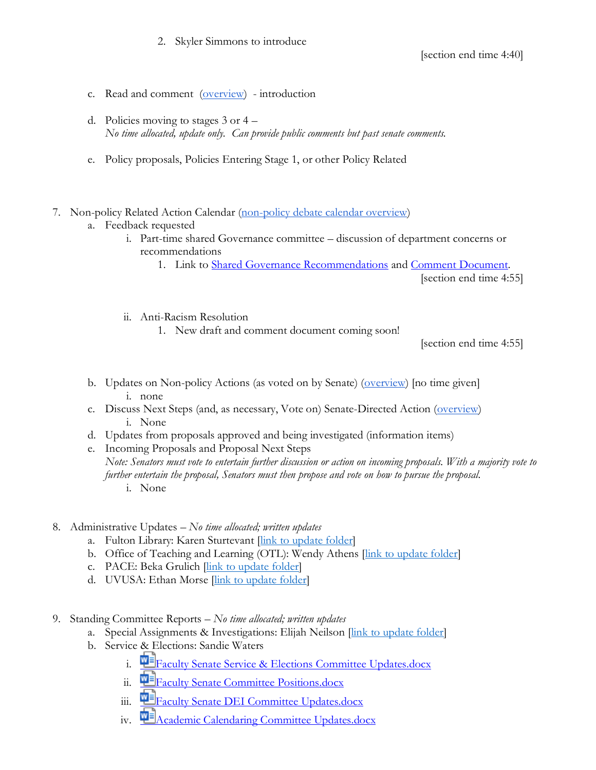- c. Read and comment [\(overview\)](https://drive.google.com/file/d/1qcAYtZh5lFnIa680jE2JKGygThjeMyzK/view?usp=sharing) introduction
- d. Policies moving to stages 3 or 4 *No time allocated, update only. Can provide public comments but past senate comments.*
- e. Policy proposals, Policies Entering Stage 1, or other Policy Related
- 7. Non-policy Related Action Calendar [\(non-policy debate calendar overview\)](https://docs.google.com/document/d/1zrPy0Fn9xcOhidd1XMgo1opj-lYb_9aTvLKg_NI1eLA/edit?usp=sharing)
	- a. Feedback requested
		- i. Part-time shared Governance committee discussion of department concerns or recommendations
			- 1. Link to [Shared Governance Recommendations](https://tinyurl.com/3pw9v22z) and [Comment Document.](https://docs.google.com/document/d/1gn_wJ7DB--cJM2dLBTWF71NNVfZPuB_6O2IiTcImIPM/edit?usp=sharing)

[section end time 4:55]

- ii. Anti-Racism Resolution
	- 1. New draft and comment document coming soon!

[section end time 4:55]

- b. Updates on Non-policy Actions (as voted on by Senate) [\(overview\)](https://docs.google.com/document/d/1zrPy0Fn9xcOhidd1XMgo1opj-lYb_9aTvLKg_NI1eLA/edit#bookmark=id.20s1i57f673d) [no time given] i. none
- c. Discuss Next Steps (and, as necessary, Vote on) Senate-Directed Action [\(overview\)](https://docs.google.com/document/d/1zrPy0Fn9xcOhidd1XMgo1opj-lYb_9aTvLKg_NI1eLA/edit#bookmark=id.1turi862unvt) i. None
- d. Updates from proposals approved and being investigated (information items)
- e. Incoming Proposals and Proposal Next Steps *Note: Senators must vote to entertain further discussion or action on incoming proposals. With a majority vote to further entertain the proposal, Senators must then propose and vote on how to pursue the proposal.* i. None
- 8. Administrative Updates *– No time allocated; written updates*
	- a. Fulton Library: Karen Sturtevant [\[link to update folder\]](https://drive.google.com/drive/folders/1CJZnOvFahmJJZJojR2XBd0U8PclC3aHK?usp=sharing)
	- b. Office of Teaching and Learning (OTL): Wendy Athens [\[link to update folder\]](https://drive.google.com/drive/folders/1o5Tj_1mbe6qVJWyGFA9FNQMAx0zgjyM9?usp=sharing)
	- c. PACE: Beka Grulich [link to [update folder\]](https://drive.google.com/drive/folders/1Ine7rBIg27FdgKErlcWF5p9Nx0tJNwok?usp=sharing)
	- d. UVUSA: Ethan Morse *[\[link to update folder\]](https://drive.google.com/drive/folders/1GXZgi4LTLaWWG5uZ1_7PXCZi9GB43BZm?usp=sharing)*
- 9. Standing Committee Reports *– No time allocated; written updates*
	- a. Special Assignments & Investigations: Elijah Neilson [\[link to update folder\]](https://drive.google.com/drive/folders/1e9MbUhAQO28YnSWhseDbZv13PkR6mIFT?usp=sharing)
	- b. Service & Elections: Sandie Waters
		- i. [Faculty Senate Service & Elections Committee Updates.docx](https://uvu365.sharepoint.com/:w:/s/ServiceElectionsChairs/EXxOn1zvCHVEgniRfP0Oi9cBT2zC99MFxAB3x2KHzQZ94g?e=mKuPuw&isSPOFile=1)
		- ii. **WE** [Faculty Senate Committee Positions.docx](https://uvu365.sharepoint.com/:w:/s/ServiceElectionsChairs/EbT5tySbhVJFm1LJ8jmH4_kBdIHgMC78fR-c32IeB5iPXg)
		- iii. **E**[Faculty Senate DEI Committee Updates.docx](https://uvu365.sharepoint.com/:w:/s/DiversityEquityandInclusionFacultySenateCommittee/EeQ5Hj8UciBNo6Q-tsrfL10BzAIfBd0pxMehiIsvKGt4qw)
		- iv. **TE** [Academic Calendaring Committee Updates.docx](https://uvu365.sharepoint.com/:w:/s/AcademicCalendaringCommittee/EWUePzXIiXFDo-0BOAxf2UsBVHFmEYbYSrBnzfhU9agBoQ)